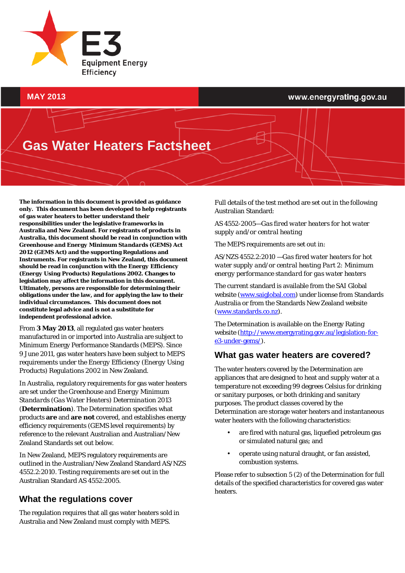

#### **MAY 2013**

#### www.energyrating.gov.au

# **Gas Water Heaters Factsheet**

**The information in this document is provided as guidance only. This document has been developed to help registrants of gas water heaters to better understand their responsibilities under the legislative frameworks in Australia and New Zealand. For registrants of products in Australia, this document should be read in conjunction with**  *Greenhouse and Energy Minimum Standards (GEMS) Act 2012* **(GEMS Act) and the supporting Regulations and Instruments. For registrants in New Zealand, this document should be read in conjunction with the** *Energy Efficiency (Energy Using Products) Regulations 2002***. Changes to legislation may affect the information in this document. Ultimately, persons are responsible for determining their obligations under the law, and for applying the law to their individual circumstances. This document does not constitute legal advice and is not a substitute for independent professional advice.**

From **3 May 2013**, all regulated gas water heaters manufactured in or imported into Australia are subject to Minimum Energy Performance Standards (MEPS). Since 9 June 2011, gas water heaters have been subject to MEPS requirements under the *Energy Efficiency (Energy Using Products) Regulations 2002* in New Zealand.

In Australia, regulatory requirements for gas water heaters are set under the *Greenhouse and Energy Minimum Standards (Gas Water Heaters) Determination 2013* (**Determination**). The Determination specifies what products **are** and **are not** covered, and establishes energy efficiency requirements (GEMS level requirements) by reference to the relevant Australian and Australian/New Zealand Standards set out below.

In New Zealand, MEPS regulatory requirements are outlined in the Australian/New Zealand Standard AS/NZS 4552.2:2010. Testing requirements are set out in the Australian Standard AS 4552:2005.

### **What the regulations cover**

The regulation requires that all gas water heaters sold in Australia and New Zealand must comply with MEPS.

Full details of the test method are set out in the following Australian Standard:

*AS 4552-2005—Gas fired water heaters for hot water supply and/or central heating*

The MEPS requirements are set out in:

AS/NZS 4552.2:2010 *—Gas fired water heaters for hot water supply and/or central heating Part 2: Minimum energy performance standard for gas water heaters*

The current standard is available from the SAI Global website [\(www.saiglobal.com\)](http://www.saiglobal.com/) under license from Standards Australia or from the Standards New Zealand website [\(www.standards.co.nz\)](http://www.standards.co.nz/).

The Determination is available on the Energy Rating website [\(http://www.energyrating.gov.au/legislation-for](http://www.energyrating.gov.au/legislation-for-e3-under-gems/)[e3-under-gems/\)](http://www.energyrating.gov.au/legislation-for-e3-under-gems/).

### **What gas water heaters are covered?**

The water heaters covered by the Determination are appliances that are designed to heat and supply water at a temperature not exceeding 99 degrees Celsius for drinking or sanitary purposes, or both drinking and sanitary purposes. The product classes covered by the Determination are storage water heaters and instantaneous water heaters with the following characteristics:

- are fired with natural gas, liquefied petroleum gas or simulated natural gas; and
- operate using natural draught, or fan assisted, combustion systems.

Please refer to subsection 5 (2) of the Determination for full details of the specified characteristics for covered gas water heaters.